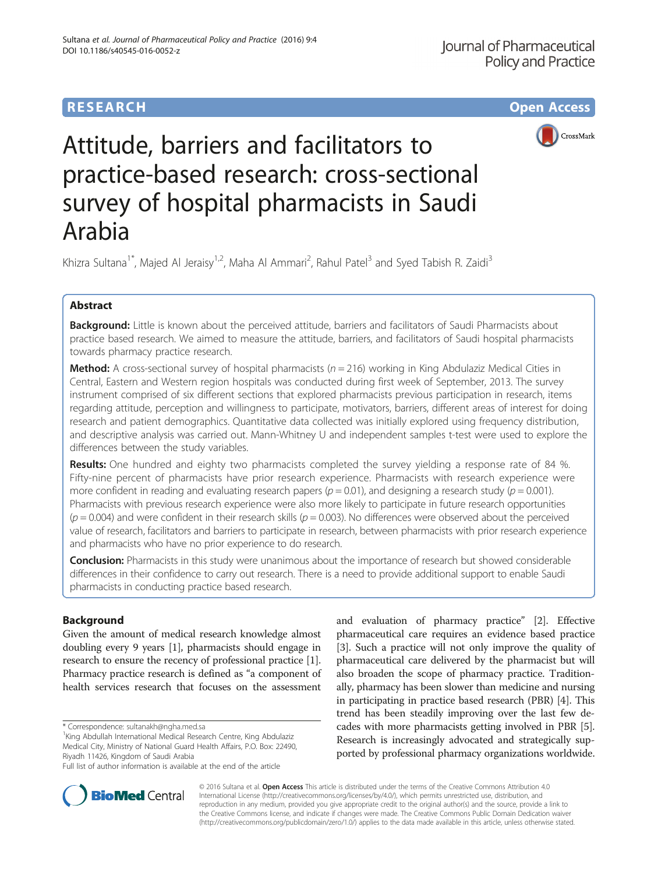## **RESEARCH CHE Open Access**



# Attitude, barriers and facilitators to practice-based research: cross-sectional survey of hospital pharmacists in Saudi Arabia

Khizra Sultana<sup>1\*</sup>, Majed Al Jeraisy<sup>1,2</sup>, Maha Al Ammari<sup>2</sup>, Rahul Patel<sup>3</sup> and Syed Tabish R. Zaidi<sup>3</sup>

## Abstract

Background: Little is known about the perceived attitude, barriers and facilitators of Saudi Pharmacists about practice based research. We aimed to measure the attitude, barriers, and facilitators of Saudi hospital pharmacists towards pharmacy practice research.

**Method:** A cross-sectional survey of hospital pharmacists ( $n = 216$ ) working in King Abdulaziz Medical Cities in Central, Eastern and Western region hospitals was conducted during first week of September, 2013. The survey instrument comprised of six different sections that explored pharmacists previous participation in research, items regarding attitude, perception and willingness to participate, motivators, barriers, different areas of interest for doing research and patient demographics. Quantitative data collected was initially explored using frequency distribution, and descriptive analysis was carried out. Mann-Whitney U and independent samples t-test were used to explore the differences between the study variables.

**Results:** One hundred and eighty two pharmacists completed the survey yielding a response rate of 84 %. Fifty-nine percent of pharmacists have prior research experience. Pharmacists with research experience were more confident in reading and evaluating research papers ( $p = 0.01$ ), and designing a research study ( $p = 0.001$ ). Pharmacists with previous research experience were also more likely to participate in future research opportunities  $(p = 0.004)$  and were confident in their research skills  $(p = 0.003)$ . No differences were observed about the perceived value of research, facilitators and barriers to participate in research, between pharmacists with prior research experience and pharmacists who have no prior experience to do research.

**Conclusion:** Pharmacists in this study were unanimous about the importance of research but showed considerable differences in their confidence to carry out research. There is a need to provide additional support to enable Saudi pharmacists in conducting practice based research.

## Background

Given the amount of medical research knowledge almost doubling every 9 years [[1\]](#page-6-0), pharmacists should engage in research to ensure the recency of professional practice [[1](#page-6-0)]. Pharmacy practice research is defined as "a component of health services research that focuses on the assessment

\* Correspondence: [sultanakh@ngha.med.sa](mailto:sultanakh@ngha.med.sa) <sup>1</sup>

and evaluation of pharmacy practice" [\[2](#page-6-0)]. Effective pharmaceutical care requires an evidence based practice [[3\]](#page-6-0). Such a practice will not only improve the quality of pharmaceutical care delivered by the pharmacist but will also broaden the scope of pharmacy practice. Traditionally, pharmacy has been slower than medicine and nursing in participating in practice based research (PBR) [\[4](#page-6-0)]. This trend has been steadily improving over the last few decades with more pharmacists getting involved in PBR [[5](#page-6-0)]. Research is increasingly advocated and strategically supported by professional pharmacy organizations worldwide.



© 2016 Sultana et al. Open Access This article is distributed under the terms of the Creative Commons Attribution 4.0 International License [\(http://creativecommons.org/licenses/by/4.0/](http://creativecommons.org/licenses/by/4.0/)), which permits unrestricted use, distribution, and reproduction in any medium, provided you give appropriate credit to the original author(s) and the source, provide a link to the Creative Commons license, and indicate if changes were made. The Creative Commons Public Domain Dedication waiver [\(http://creativecommons.org/publicdomain/zero/1.0/](http://creativecommons.org/publicdomain/zero/1.0/)) applies to the data made available in this article, unless otherwise stated.

<sup>&</sup>lt;sup>1</sup> King Abdullah International Medical Research Centre, King Abdulaziz Medical City, Ministry of National Guard Health Affairs, P.O. Box: 22490, Riyadh 11426, Kingdom of Saudi Arabia

Full list of author information is available at the end of the article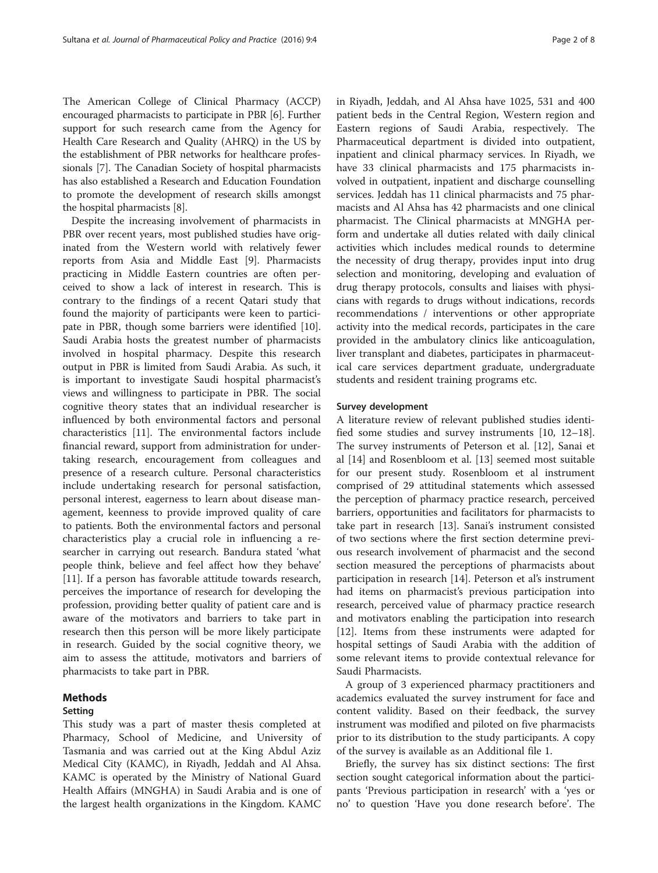The American College of Clinical Pharmacy (ACCP) encouraged pharmacists to participate in PBR [\[6](#page-6-0)]. Further support for such research came from the Agency for Health Care Research and Quality (AHRQ) in the US by the establishment of PBR networks for healthcare professionals [\[7](#page-6-0)]. The Canadian Society of hospital pharmacists has also established a Research and Education Foundation to promote the development of research skills amongst the hospital pharmacists [[8\]](#page-6-0).

Despite the increasing involvement of pharmacists in PBR over recent years, most published studies have originated from the Western world with relatively fewer reports from Asia and Middle East [[9\]](#page-6-0). Pharmacists practicing in Middle Eastern countries are often perceived to show a lack of interest in research. This is contrary to the findings of a recent Qatari study that found the majority of participants were keen to participate in PBR, though some barriers were identified [\[10](#page-6-0)]. Saudi Arabia hosts the greatest number of pharmacists involved in hospital pharmacy. Despite this research output in PBR is limited from Saudi Arabia. As such, it is important to investigate Saudi hospital pharmacist's views and willingness to participate in PBR. The social cognitive theory states that an individual researcher is influenced by both environmental factors and personal characteristics [[11\]](#page-6-0). The environmental factors include financial reward, support from administration for undertaking research, encouragement from colleagues and presence of a research culture. Personal characteristics include undertaking research for personal satisfaction, personal interest, eagerness to learn about disease management, keenness to provide improved quality of care to patients. Both the environmental factors and personal characteristics play a crucial role in influencing a researcher in carrying out research. Bandura stated 'what people think, believe and feel affect how they behave' [[11\]](#page-6-0). If a person has favorable attitude towards research, perceives the importance of research for developing the profession, providing better quality of patient care and is aware of the motivators and barriers to take part in research then this person will be more likely participate in research. Guided by the social cognitive theory, we aim to assess the attitude, motivators and barriers of pharmacists to take part in PBR.

#### Methods

#### Setting

This study was a part of master thesis completed at Pharmacy, School of Medicine, and University of Tasmania and was carried out at the King Abdul Aziz Medical City (KAMC), in Riyadh, Jeddah and Al Ahsa. KAMC is operated by the Ministry of National Guard Health Affairs (MNGHA) in Saudi Arabia and is one of the largest health organizations in the Kingdom. KAMC in Riyadh, Jeddah, and Al Ahsa have 1025, 531 and 400 patient beds in the Central Region, Western region and Eastern regions of Saudi Arabia, respectively. The Pharmaceutical department is divided into outpatient, inpatient and clinical pharmacy services. In Riyadh, we have 33 clinical pharmacists and 175 pharmacists involved in outpatient, inpatient and discharge counselling services. Jeddah has 11 clinical pharmacists and 75 pharmacists and Al Ahsa has 42 pharmacists and one clinical pharmacist. The Clinical pharmacists at MNGHA perform and undertake all duties related with daily clinical activities which includes medical rounds to determine the necessity of drug therapy, provides input into drug selection and monitoring, developing and evaluation of drug therapy protocols, consults and liaises with physicians with regards to drugs without indications, records recommendations / interventions or other appropriate activity into the medical records, participates in the care provided in the ambulatory clinics like anticoagulation, liver transplant and diabetes, participates in pharmaceutical care services department graduate, undergraduate students and resident training programs etc.

#### Survey development

A literature review of relevant published studies identified some studies and survey instruments [\[10, 12](#page-6-0)–[18](#page-7-0)]. The survey instruments of Peterson et al. [\[12](#page-6-0)], Sanai et al [\[14](#page-6-0)] and Rosenbloom et al. [[13](#page-6-0)] seemed most suitable for our present study. Rosenbloom et al instrument comprised of 29 attitudinal statements which assessed the perception of pharmacy practice research, perceived barriers, opportunities and facilitators for pharmacists to take part in research [[13](#page-6-0)]. Sanai's instrument consisted of two sections where the first section determine previous research involvement of pharmacist and the second section measured the perceptions of pharmacists about participation in research [[14\]](#page-6-0). Peterson et al's instrument had items on pharmacist's previous participation into research, perceived value of pharmacy practice research and motivators enabling the participation into research [[12\]](#page-6-0). Items from these instruments were adapted for hospital settings of Saudi Arabia with the addition of some relevant items to provide contextual relevance for Saudi Pharmacists.

A group of 3 experienced pharmacy practitioners and academics evaluated the survey instrument for face and content validity. Based on their feedback, the survey instrument was modified and piloted on five pharmacists prior to its distribution to the study participants. A copy of the survey is available as an Additional file [1](#page-6-0).

Briefly, the survey has six distinct sections: The first section sought categorical information about the participants 'Previous participation in research' with a 'yes or no' to question 'Have you done research before'. The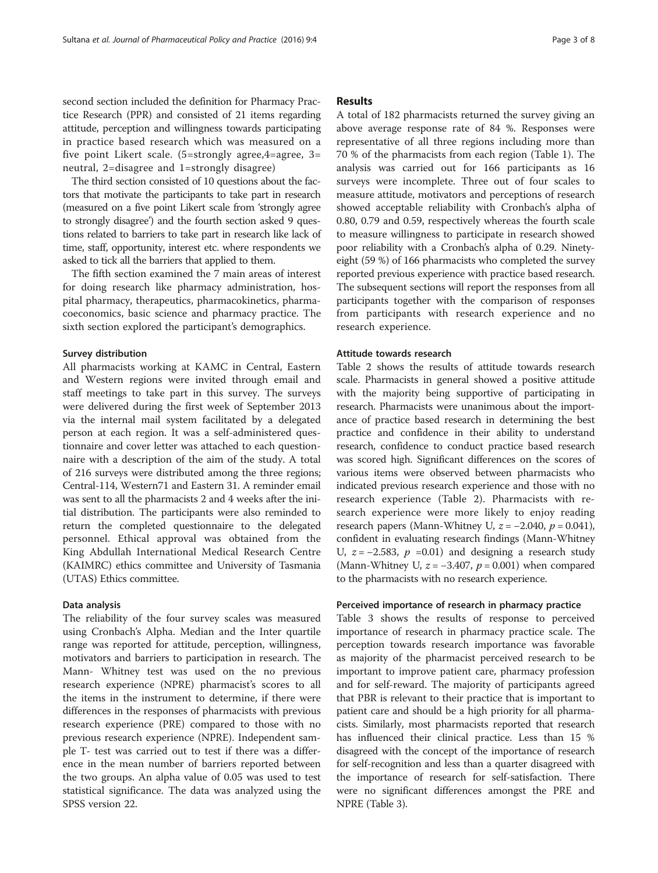second section included the definition for Pharmacy Practice Research (PPR) and consisted of 21 items regarding attitude, perception and willingness towards participating in practice based research which was measured on a five point Likert scale. (5=strongly agree,4=agree, 3= neutral, 2=disagree and 1=strongly disagree)

The third section consisted of 10 questions about the factors that motivate the participants to take part in research (measured on a five point Likert scale from 'strongly agree to strongly disagree') and the fourth section asked 9 questions related to barriers to take part in research like lack of time, staff, opportunity, interest etc. where respondents we asked to tick all the barriers that applied to them.

The fifth section examined the 7 main areas of interest for doing research like pharmacy administration, hospital pharmacy, therapeutics, pharmacokinetics, pharmacoeconomics, basic science and pharmacy practice. The sixth section explored the participant's demographics.

#### Survey distribution

All pharmacists working at KAMC in Central, Eastern and Western regions were invited through email and staff meetings to take part in this survey. The surveys were delivered during the first week of September 2013 via the internal mail system facilitated by a delegated person at each region. It was a self-administered questionnaire and cover letter was attached to each questionnaire with a description of the aim of the study. A total of 216 surveys were distributed among the three regions; Central-114, Western71 and Eastern 31. A reminder email was sent to all the pharmacists 2 and 4 weeks after the initial distribution. The participants were also reminded to return the completed questionnaire to the delegated personnel. Ethical approval was obtained from the King Abdullah International Medical Research Centre (KAIMRC) ethics committee and University of Tasmania (UTAS) Ethics committee.

#### Data analysis

The reliability of the four survey scales was measured using Cronbach's Alpha. Median and the Inter quartile range was reported for attitude, perception, willingness, motivators and barriers to participation in research. The Mann- Whitney test was used on the no previous research experience (NPRE) pharmacist's scores to all the items in the instrument to determine, if there were differences in the responses of pharmacists with previous research experience (PRE) compared to those with no previous research experience (NPRE). Independent sample T- test was carried out to test if there was a difference in the mean number of barriers reported between the two groups. An alpha value of 0.05 was used to test statistical significance. The data was analyzed using the SPSS version 22.

#### Results

A total of 182 pharmacists returned the survey giving an above average response rate of 84 %. Responses were representative of all three regions including more than 70 % of the pharmacists from each region (Table [1\)](#page-3-0). The analysis was carried out for 166 participants as 16 surveys were incomplete. Three out of four scales to measure attitude, motivators and perceptions of research showed acceptable reliability with Cronbach's alpha of 0.80, 0.79 and 0.59, respectively whereas the fourth scale to measure willingness to participate in research showed poor reliability with a Cronbach's alpha of 0.29. Ninetyeight (59 %) of 166 pharmacists who completed the survey reported previous experience with practice based research. The subsequent sections will report the responses from all participants together with the comparison of responses from participants with research experience and no research experience.

#### Attitude towards research

Table [2](#page-4-0) shows the results of attitude towards research scale. Pharmacists in general showed a positive attitude with the majority being supportive of participating in research. Pharmacists were unanimous about the importance of practice based research in determining the best practice and confidence in their ability to understand research, confidence to conduct practice based research was scored high. Significant differences on the scores of various items were observed between pharmacists who indicated previous research experience and those with no research experience (Table [2\)](#page-4-0). Pharmacists with research experience were more likely to enjoy reading research papers (Mann-Whitney U,  $z = -2.040$ ,  $p = 0.041$ ), confident in evaluating research findings (Mann-Whitney U,  $z = -2.583$ ,  $p = 0.01$ ) and designing a research study (Mann-Whitney U,  $z = -3.407$ ,  $p = 0.001$ ) when compared to the pharmacists with no research experience.

#### Perceived importance of research in pharmacy practice

Table [3](#page-4-0) shows the results of response to perceived importance of research in pharmacy practice scale. The perception towards research importance was favorable as majority of the pharmacist perceived research to be important to improve patient care, pharmacy profession and for self-reward. The majority of participants agreed that PBR is relevant to their practice that is important to patient care and should be a high priority for all pharmacists. Similarly, most pharmacists reported that research has influenced their clinical practice. Less than 15 % disagreed with the concept of the importance of research for self-recognition and less than a quarter disagreed with the importance of research for self-satisfaction. There were no significant differences amongst the PRE and NPRE (Table [3\)](#page-4-0).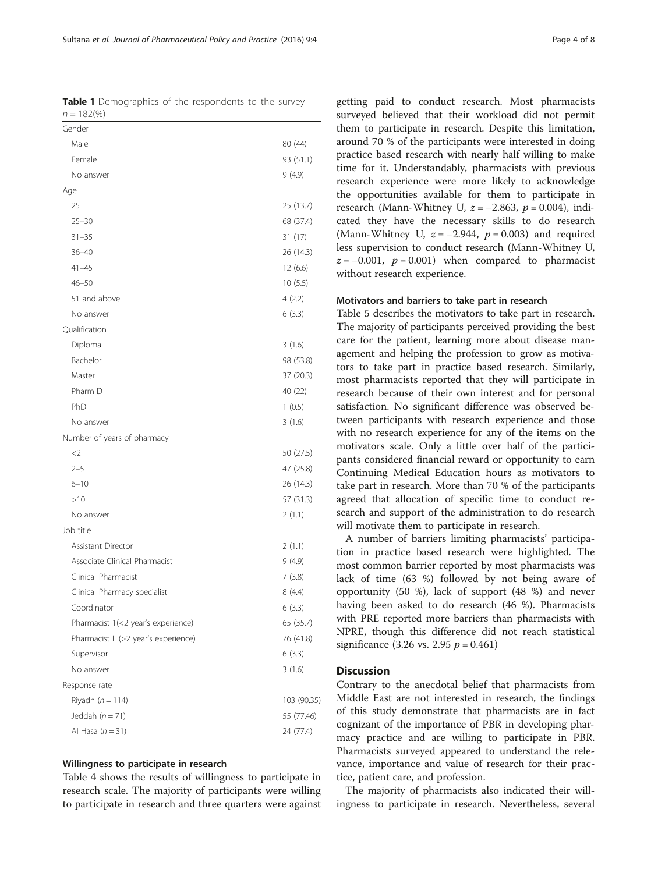surveyed believed that their workload did not permit them to participate in research. Despite this limitation, around 70 % of the participants were interested in doing practice based research with nearly half willing to make time for it. Understandably, pharmacists with previous research experience were more likely to acknowledge the opportunities available for them to participate in research (Mann-Whitney U,  $z = -2.863$ ,  $p = 0.004$ ), indicated they have the necessary skills to do research (Mann-Whitney U,  $z = -2.944$ ,  $p = 0.003$ ) and required less supervision to conduct research (Mann-Whitney U,  $z = -0.001$ ,  $p = 0.001$ ) when compared to pharmacist without research experience.

getting paid to conduct research. Most pharmacists

#### Motivators and barriers to take part in research

Table [5](#page-5-0) describes the motivators to take part in research. The majority of participants perceived providing the best care for the patient, learning more about disease management and helping the profession to grow as motivators to take part in practice based research. Similarly, most pharmacists reported that they will participate in research because of their own interest and for personal satisfaction. No significant difference was observed between participants with research experience and those with no research experience for any of the items on the motivators scale. Only a little over half of the participants considered financial reward or opportunity to earn Continuing Medical Education hours as motivators to take part in research. More than 70 % of the participants agreed that allocation of specific time to conduct research and support of the administration to do research will motivate them to participate in research.

A number of barriers limiting pharmacists' participation in practice based research were highlighted. The most common barrier reported by most pharmacists was lack of time (63 %) followed by not being aware of opportunity (50 %), lack of support (48 %) and never having been asked to do research (46 %). Pharmacists with PRE reported more barriers than pharmacists with NPRE, though this difference did not reach statistical significance (3.26 vs. 2.95  $p = 0.461$ )

#### **Discussion**

Contrary to the anecdotal belief that pharmacists from Middle East are not interested in research, the findings of this study demonstrate that pharmacists are in fact cognizant of the importance of PBR in developing pharmacy practice and are willing to participate in PBR. Pharmacists surveyed appeared to understand the relevance, importance and value of research for their practice, patient care, and profession.

The majority of pharmacists also indicated their willingness to participate in research. Nevertheless, several

<span id="page-3-0"></span>Table 1 Demographics of the respondents to the survey  $n = 182(% )$ 

| Male<br>80 (44)<br>Female<br>93 (51.1)<br>9(4.9)<br>No answer<br>Age<br>25<br>25 (13.7)<br>$25 - 30$<br>68 (37.4)<br>31 (17)<br>$31 - 35$<br>$36 - 40$<br>26 (14.3)<br>$41 - 45$<br>12(6.6)<br>$46 - 50$<br>10(5.5)<br>51 and above<br>4 (2.2)<br>No answer<br>6(3.3)<br>Qualification<br>Diploma<br>3(1.6)<br>Bachelor<br>98 (53.8)<br>Master<br>37 (20.3)<br>Pharm D<br>40 (22)<br>PhD<br>1(0.5)<br>3(1.6)<br>No answer<br>Number of years of pharmacy<br>50 (27.5)<br>$<$ 2<br>$2 - 5$<br>47 (25.8)<br>$6 - 10$<br>26 (14.3)<br>>10<br>57 (31.3)<br>No answer<br>2(1.1)<br>Job title<br>Assistant Director<br>2(1.1)<br>Associate Clinical Pharmacist<br>9 (4.9)<br>Clinical Pharmacist<br>7(3.8)<br>Clinical Pharmacy specialist<br>8 (4.4)<br>Coordinator<br>6(3.3)<br>Pharmacist 1(<2 year's experience)<br>65 (35.7)<br>Pharmacist II (>2 year's experience)<br>76 (41.8)<br>Supervisor<br>6(3.3)<br>No answer<br>3(1.6)<br>Response rate<br>Riyadh $(n = 114)$<br>103 (90.35)<br>Jeddah $(n = 71)$<br>55 (77.46)<br>Al Hasa $(n = 31)$<br>24 (77.4) | Gender |  |
|-------------------------------------------------------------------------------------------------------------------------------------------------------------------------------------------------------------------------------------------------------------------------------------------------------------------------------------------------------------------------------------------------------------------------------------------------------------------------------------------------------------------------------------------------------------------------------------------------------------------------------------------------------------------------------------------------------------------------------------------------------------------------------------------------------------------------------------------------------------------------------------------------------------------------------------------------------------------------------------------------------------------------------------------------------------|--------|--|
|                                                                                                                                                                                                                                                                                                                                                                                                                                                                                                                                                                                                                                                                                                                                                                                                                                                                                                                                                                                                                                                             |        |  |
|                                                                                                                                                                                                                                                                                                                                                                                                                                                                                                                                                                                                                                                                                                                                                                                                                                                                                                                                                                                                                                                             |        |  |
|                                                                                                                                                                                                                                                                                                                                                                                                                                                                                                                                                                                                                                                                                                                                                                                                                                                                                                                                                                                                                                                             |        |  |
|                                                                                                                                                                                                                                                                                                                                                                                                                                                                                                                                                                                                                                                                                                                                                                                                                                                                                                                                                                                                                                                             |        |  |
|                                                                                                                                                                                                                                                                                                                                                                                                                                                                                                                                                                                                                                                                                                                                                                                                                                                                                                                                                                                                                                                             |        |  |
|                                                                                                                                                                                                                                                                                                                                                                                                                                                                                                                                                                                                                                                                                                                                                                                                                                                                                                                                                                                                                                                             |        |  |
|                                                                                                                                                                                                                                                                                                                                                                                                                                                                                                                                                                                                                                                                                                                                                                                                                                                                                                                                                                                                                                                             |        |  |
|                                                                                                                                                                                                                                                                                                                                                                                                                                                                                                                                                                                                                                                                                                                                                                                                                                                                                                                                                                                                                                                             |        |  |
|                                                                                                                                                                                                                                                                                                                                                                                                                                                                                                                                                                                                                                                                                                                                                                                                                                                                                                                                                                                                                                                             |        |  |
|                                                                                                                                                                                                                                                                                                                                                                                                                                                                                                                                                                                                                                                                                                                                                                                                                                                                                                                                                                                                                                                             |        |  |
|                                                                                                                                                                                                                                                                                                                                                                                                                                                                                                                                                                                                                                                                                                                                                                                                                                                                                                                                                                                                                                                             |        |  |
|                                                                                                                                                                                                                                                                                                                                                                                                                                                                                                                                                                                                                                                                                                                                                                                                                                                                                                                                                                                                                                                             |        |  |
|                                                                                                                                                                                                                                                                                                                                                                                                                                                                                                                                                                                                                                                                                                                                                                                                                                                                                                                                                                                                                                                             |        |  |
|                                                                                                                                                                                                                                                                                                                                                                                                                                                                                                                                                                                                                                                                                                                                                                                                                                                                                                                                                                                                                                                             |        |  |
|                                                                                                                                                                                                                                                                                                                                                                                                                                                                                                                                                                                                                                                                                                                                                                                                                                                                                                                                                                                                                                                             |        |  |
|                                                                                                                                                                                                                                                                                                                                                                                                                                                                                                                                                                                                                                                                                                                                                                                                                                                                                                                                                                                                                                                             |        |  |
|                                                                                                                                                                                                                                                                                                                                                                                                                                                                                                                                                                                                                                                                                                                                                                                                                                                                                                                                                                                                                                                             |        |  |
|                                                                                                                                                                                                                                                                                                                                                                                                                                                                                                                                                                                                                                                                                                                                                                                                                                                                                                                                                                                                                                                             |        |  |
|                                                                                                                                                                                                                                                                                                                                                                                                                                                                                                                                                                                                                                                                                                                                                                                                                                                                                                                                                                                                                                                             |        |  |
|                                                                                                                                                                                                                                                                                                                                                                                                                                                                                                                                                                                                                                                                                                                                                                                                                                                                                                                                                                                                                                                             |        |  |
|                                                                                                                                                                                                                                                                                                                                                                                                                                                                                                                                                                                                                                                                                                                                                                                                                                                                                                                                                                                                                                                             |        |  |
|                                                                                                                                                                                                                                                                                                                                                                                                                                                                                                                                                                                                                                                                                                                                                                                                                                                                                                                                                                                                                                                             |        |  |
|                                                                                                                                                                                                                                                                                                                                                                                                                                                                                                                                                                                                                                                                                                                                                                                                                                                                                                                                                                                                                                                             |        |  |
|                                                                                                                                                                                                                                                                                                                                                                                                                                                                                                                                                                                                                                                                                                                                                                                                                                                                                                                                                                                                                                                             |        |  |
|                                                                                                                                                                                                                                                                                                                                                                                                                                                                                                                                                                                                                                                                                                                                                                                                                                                                                                                                                                                                                                                             |        |  |
|                                                                                                                                                                                                                                                                                                                                                                                                                                                                                                                                                                                                                                                                                                                                                                                                                                                                                                                                                                                                                                                             |        |  |
|                                                                                                                                                                                                                                                                                                                                                                                                                                                                                                                                                                                                                                                                                                                                                                                                                                                                                                                                                                                                                                                             |        |  |
|                                                                                                                                                                                                                                                                                                                                                                                                                                                                                                                                                                                                                                                                                                                                                                                                                                                                                                                                                                                                                                                             |        |  |
|                                                                                                                                                                                                                                                                                                                                                                                                                                                                                                                                                                                                                                                                                                                                                                                                                                                                                                                                                                                                                                                             |        |  |
|                                                                                                                                                                                                                                                                                                                                                                                                                                                                                                                                                                                                                                                                                                                                                                                                                                                                                                                                                                                                                                                             |        |  |
|                                                                                                                                                                                                                                                                                                                                                                                                                                                                                                                                                                                                                                                                                                                                                                                                                                                                                                                                                                                                                                                             |        |  |
|                                                                                                                                                                                                                                                                                                                                                                                                                                                                                                                                                                                                                                                                                                                                                                                                                                                                                                                                                                                                                                                             |        |  |
|                                                                                                                                                                                                                                                                                                                                                                                                                                                                                                                                                                                                                                                                                                                                                                                                                                                                                                                                                                                                                                                             |        |  |
|                                                                                                                                                                                                                                                                                                                                                                                                                                                                                                                                                                                                                                                                                                                                                                                                                                                                                                                                                                                                                                                             |        |  |
|                                                                                                                                                                                                                                                                                                                                                                                                                                                                                                                                                                                                                                                                                                                                                                                                                                                                                                                                                                                                                                                             |        |  |
|                                                                                                                                                                                                                                                                                                                                                                                                                                                                                                                                                                                                                                                                                                                                                                                                                                                                                                                                                                                                                                                             |        |  |
|                                                                                                                                                                                                                                                                                                                                                                                                                                                                                                                                                                                                                                                                                                                                                                                                                                                                                                                                                                                                                                                             |        |  |
|                                                                                                                                                                                                                                                                                                                                                                                                                                                                                                                                                                                                                                                                                                                                                                                                                                                                                                                                                                                                                                                             |        |  |
|                                                                                                                                                                                                                                                                                                                                                                                                                                                                                                                                                                                                                                                                                                                                                                                                                                                                                                                                                                                                                                                             |        |  |

Willingness to participate in research

Table [4](#page-5-0) shows the results of willingness to participate in research scale. The majority of participants were willing to participate in research and three quarters were against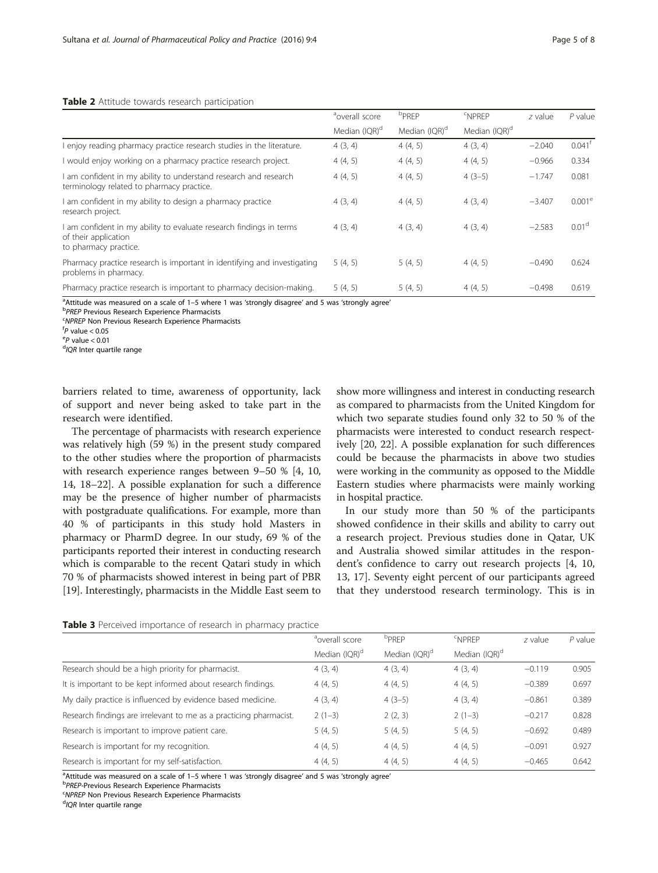#### <span id="page-4-0"></span>Table 2 Attitude towards research participation

|                                                                                                                      | Median (IQR) <sup>d</sup> | Median (IQR) <sup>d</sup> | Median (IQR) <sup>d</sup> |          |                      |
|----------------------------------------------------------------------------------------------------------------------|---------------------------|---------------------------|---------------------------|----------|----------------------|
| I enjoy reading pharmacy practice research studies in the literature.                                                | 4(3, 4)                   | 4(4, 5)                   | 4(3, 4)                   | $-2.040$ | $0.041$ <sup>f</sup> |
| I would enjoy working on a pharmacy practice research project.                                                       | 4(4, 5)                   | 4(4, 5)                   | 4(4, 5)                   | $-0.966$ | 0.334                |
| I am confident in my ability to understand research and research<br>terminology related to pharmacy practice.        | 4(4, 5)                   | 4(4, 5)                   | $4(3-5)$                  | $-1.747$ | 0.081                |
| I am confident in my ability to design a pharmacy practice<br>research project.                                      | 4(3, 4)                   | 4(4, 5)                   | 4(3, 4)                   | $-3.407$ | 0.001 <sup>6</sup>   |
| I am confident in my ability to evaluate research findings in terms<br>of their application<br>to pharmacy practice. | 4(3, 4)                   | 4(3, 4)                   | 4(3, 4)                   | $-2.583$ | 0.01 <sup>d</sup>    |
| Pharmacy practice research is important in identifying and investigating                                             | 5(4, 5)                   | 5(4, 5)                   | 4(4, 5)                   | $-0.490$ | 0.624                |

Pharmacy practice research is important to pharmacy decision-making.  $5(4, 5)$   $5(4, 5)$   $4(4, 5)$   $-0.498$  0.619

<sup>a</sup>overall score b

<sup>b</sup>PREP <sup>c</sup>NPREP

Pharmacy practice research is important in identifying and investigating problems in pharmacy.

<sup>a</sup>Attitude was measured on a scale of 1–5 where 1 was 'strongly disagree' and 5 was 'strongly agree'<br><sup>b</sup>PPFP Previous Research Experience Pharmacists

**PREP Previous Research Experience Pharmacists** 

**ENPREP Non Previous Research Experience Pharmacists** 

<sup>d</sup>IQR Inter quartile range

barriers related to time, awareness of opportunity, lack of support and never being asked to take part in the research were identified.

The percentage of pharmacists with research experience was relatively high (59 %) in the present study compared to the other studies where the proportion of pharmacists with research experience ranges between 9–50 % [[4, 10](#page-6-0), [14](#page-6-0), [18](#page-7-0)–[22\]](#page-7-0). A possible explanation for such a difference may be the presence of higher number of pharmacists with postgraduate qualifications. For example, more than 40 % of participants in this study hold Masters in pharmacy or PharmD degree. In our study, 69 % of the participants reported their interest in conducting research which is comparable to the recent Qatari study in which 70 % of pharmacists showed interest in being part of PBR [[19](#page-7-0)]. Interestingly, pharmacists in the Middle East seem to

show more willingness and interest in conducting research as compared to pharmacists from the United Kingdom for which two separate studies found only 32 to 50 % of the pharmacists were interested to conduct research respectively [\[20, 22](#page-7-0)]. A possible explanation for such differences could be because the pharmacists in above two studies were working in the community as opposed to the Middle Eastern studies where pharmacists were mainly working in hospital practice.

In our study more than 50 % of the participants showed confidence in their skills and ability to carry out a research project. Previous studies done in Qatar, UK and Australia showed similar attitudes in the respondent's confidence to carry out research projects [\[4](#page-6-0), [10](#page-6-0), [13,](#page-6-0) [17\]](#page-7-0). Seventy eight percent of our participants agreed that they understood research terminology. This is in

| Table 3 Perceived importance of research in pharmacy practice |  |
|---------------------------------------------------------------|--|
|---------------------------------------------------------------|--|

|                                                                    | <sup>a</sup> overall score | <b>PPRFP</b>              | <sup>C</sup> NPRFP        | z value  | $P$ value |
|--------------------------------------------------------------------|----------------------------|---------------------------|---------------------------|----------|-----------|
|                                                                    | Median (IQR) <sup>d</sup>  | Median (IQR) <sup>d</sup> | Median (IQR) <sup>d</sup> |          |           |
| Research should be a high priority for pharmacist.                 | 4(3, 4)                    | 4(3, 4)                   | 4(3, 4)                   | $-0.119$ | 0.905     |
| It is important to be kept informed about research findings.       | 4(4, 5)                    | 4(4, 5)                   | 4(4, 5)                   | $-0.389$ | 0.697     |
| My daily practice is influenced by evidence based medicine.        | 4(3, 4)                    | $4(3-5)$                  | 4(3, 4)                   | $-0.861$ | 0.389     |
| Research findings are irrelevant to me as a practicing pharmacist. | $2(1-3)$                   | 2(2, 3)                   | $2(1-3)$                  | $-0.217$ | 0.828     |
| Research is important to improve patient care.                     | 5(4, 5)                    | 5(4, 5)                   | 5(4, 5)                   | $-0.692$ | 0.489     |
| Research is important for my recognition.                          | 4(4, 5)                    | 4(4, 5)                   | 4(4, 5)                   | $-0.091$ | 0.927     |
| Research is important for my self-satisfaction.                    | 4(4, 5)                    | 4(4, 5)                   | 4(4, 5)                   | $-0.465$ | 0.642     |

<sup>a</sup>Attitude was measured on a scale of 1–5 where 1 was 'strongly disagree' and 5 was 'strongly agree'<br>bppcp Provieus Pesearch Experience Pharmacists

**PREP-Previous Research Experience Pharmacists** 

<sup>C</sup>NPREP Non Previous Research Experience Pharmacists

<sup>d</sup>IQR Inter quartile range

 $Z$  value  $P$  value

 ${}^{\text{f}}P$  value  $< 0.05$ 

 $\mathrm{P}$  value < 0.01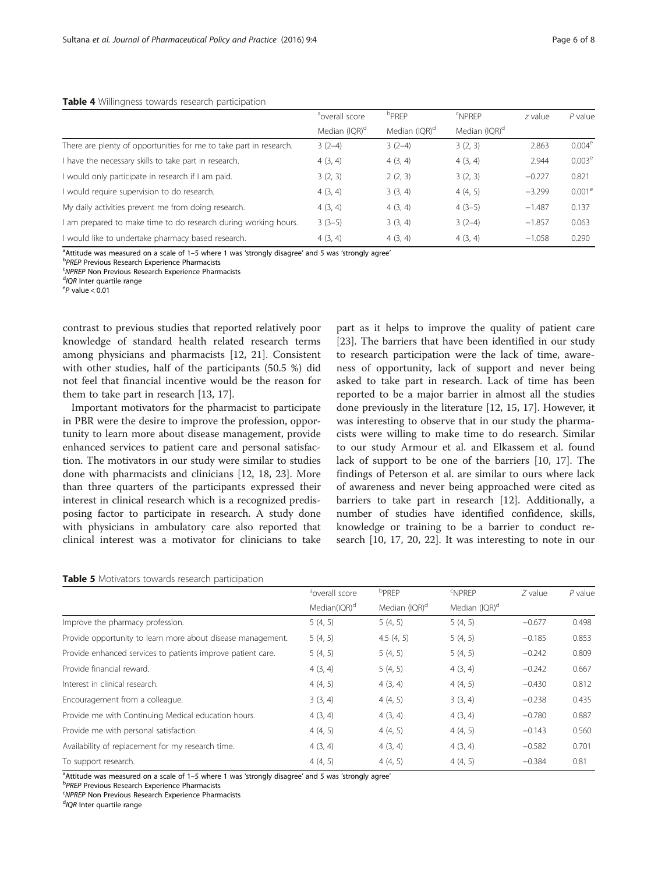#### <span id="page-5-0"></span>Table 4 Willingness towards research participation

|                                                                    | <sup>a</sup> overall score | <b>PPREP</b>              | <sup>C</sup> NPRFP        | z value  | $P$ value       |
|--------------------------------------------------------------------|----------------------------|---------------------------|---------------------------|----------|-----------------|
|                                                                    | Median (IQR) <sup>d</sup>  | Median (IQR) <sup>d</sup> | Median (IQR) <sup>d</sup> |          |                 |
| There are plenty of opportunities for me to take part in research. | $3(2-4)$                   | $3(2-4)$                  | 3(2, 3)                   | 2.863    | $0.004^{\circ}$ |
| I have the necessary skills to take part in research.              | 4(3, 4)                    | 4(3, 4)                   | 4(3, 4)                   | 2.944    | $0.003^{\circ}$ |
| I would only participate in research if I am paid.                 | 3(2, 3)                    | 2(2, 3)                   | 3(2, 3)                   | $-0.227$ | 0.821           |
| I would require supervision to do research.                        | 4(3, 4)                    | 3(3, 4)                   | 4(4, 5)                   | $-3.299$ | $0.001^{\circ}$ |
| My daily activities prevent me from doing research.                | 4(3, 4)                    | 4(3, 4)                   | $4(3-5)$                  | $-1.487$ | 0.137           |
| am prepared to make time to do research during working hours.      | $3(3-5)$                   | 3(3, 4)                   | $3(2-4)$                  | $-1.857$ | 0.063           |
| I would like to undertake pharmacy based research.                 | 4(3, 4)                    | 4(3, 4)                   | 4(3, 4)                   | $-1.058$ | 0.290           |

<sup>a</sup>Attitude was measured on a scale of 1–5 where 1 was 'strongly disagree' and 5 was 'strongly agree'<br>PREER Provieur Pescarch Experience Pharmacists

**PREP Previous Research Experience Pharmacists** 

<sup>c</sup>NPREP Non Previous Research Experience Pharmacists

<sup>d</sup>IQR Inter quartile range

 $\mathrm{P}$  value < 0.01

contrast to previous studies that reported relatively poor knowledge of standard health related research terms among physicians and pharmacists [\[12,](#page-6-0) [21](#page-7-0)]. Consistent with other studies, half of the participants (50.5 %) did not feel that financial incentive would be the reason for them to take part in research [\[13](#page-6-0), [17\]](#page-7-0).

Important motivators for the pharmacist to participate in PBR were the desire to improve the profession, opportunity to learn more about disease management, provide enhanced services to patient care and personal satisfaction. The motivators in our study were similar to studies done with pharmacists and clinicians [\[12,](#page-6-0) [18, 23](#page-7-0)]. More than three quarters of the participants expressed their interest in clinical research which is a recognized predisposing factor to participate in research. A study done with physicians in ambulatory care also reported that clinical interest was a motivator for clinicians to take

part as it helps to improve the quality of patient care [[23\]](#page-7-0). The barriers that have been identified in our study to research participation were the lack of time, awareness of opportunity, lack of support and never being asked to take part in research. Lack of time has been reported to be a major barrier in almost all the studies done previously in the literature [\[12](#page-6-0), [15](#page-6-0), [17](#page-7-0)]. However, it was interesting to observe that in our study the pharmacists were willing to make time to do research. Similar to our study Armour et al. and Elkassem et al. found lack of support to be one of the barriers [[10,](#page-6-0) [17\]](#page-7-0). The findings of Peterson et al. are similar to ours where lack of awareness and never being approached were cited as barriers to take part in research [[12\]](#page-6-0). Additionally, a number of studies have identified confidence, skills, knowledge or training to be a barrier to conduct research [[10](#page-6-0), [17, 20, 22](#page-7-0)]. It was interesting to note in our

| Table 5 Motivators towards research participation |  |  |  |
|---------------------------------------------------|--|--|--|
|---------------------------------------------------|--|--|--|

|                                                             | <sup>a</sup> overall score<br>Median(IQR) <sup>d</sup> | <b>b</b> <sub>PRFP</sub> | <sup>C</sup> NPRFP        | $Z$ value                 | $P$ value |
|-------------------------------------------------------------|--------------------------------------------------------|--------------------------|---------------------------|---------------------------|-----------|
|                                                             |                                                        |                          | Median (IQR) <sup>d</sup> | Median (IQR) <sup>d</sup> |           |
| Improve the pharmacy profession.                            | 5(4, 5)                                                | 5(4, 5)                  | 5(4, 5)                   | $-0.677$                  | 0.498     |
| Provide opportunity to learn more about disease management. | 5(4, 5)                                                | 4.5(4, 5)                | 5(4, 5)                   | $-0.185$                  | 0.853     |
| Provide enhanced services to patients improve patient care. | 5(4, 5)                                                | 5(4, 5)                  | 5(4, 5)                   | $-0.242$                  | 0.809     |
| Provide financial reward.                                   | 4(3, 4)                                                | 5(4, 5)                  | 4(3, 4)                   | $-0.242$                  | 0.667     |
| Interest in clinical research.                              | 4(4, 5)                                                | 4(3, 4)                  | 4(4, 5)                   | $-0.430$                  | 0.812     |
| Encouragement from a colleague.                             | 3(3, 4)                                                | 4(4, 5)                  | 3(3, 4)                   | $-0.238$                  | 0.435     |
| Provide me with Continuing Medical education hours.         | 4(3, 4)                                                | 4(3, 4)                  | 4(3, 4)                   | $-0.780$                  | 0.887     |
| Provide me with personal satisfaction.                      | 4(4, 5)                                                | 4(4, 5)                  | 4(4, 5)                   | $-0.143$                  | 0.560     |
| Availability of replacement for my research time.           | 4(3, 4)                                                | 4(3, 4)                  | 4(3, 4)                   | $-0.582$                  | 0.701     |
| To support research.                                        | 4(4, 5)                                                | 4(4, 5)                  | 4(4, 5)                   | $-0.384$                  | 0.81      |

<sup>a</sup>Attitude was measured on a scale of 1–5 where 1 was 'strongly disagree' and 5 was 'strongly agree'<br>bppcp Provieus Pesearch Experience Pharmacists

**PREP Previous Research Experience Pharmacists** 

<sup>C</sup>NPREP Non Previous Research Experience Pharmacists

<sup>d</sup>IQR Inter quartile range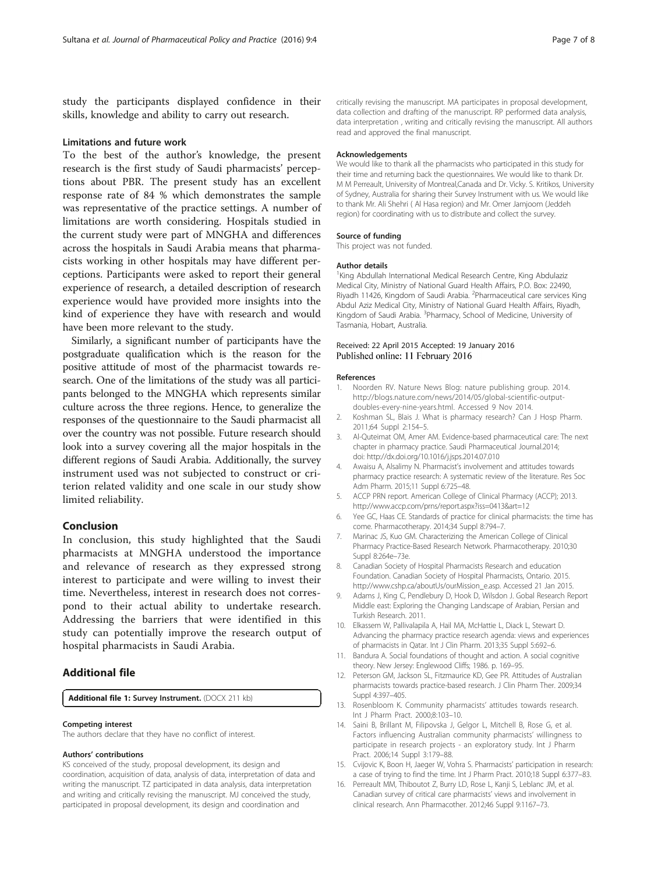<span id="page-6-0"></span>study the participants displayed confidence in their skills, knowledge and ability to carry out research.

#### Limitations and future work

To the best of the author's knowledge, the present research is the first study of Saudi pharmacists' perceptions about PBR. The present study has an excellent response rate of 84 % which demonstrates the sample was representative of the practice settings. A number of limitations are worth considering. Hospitals studied in the current study were part of MNGHA and differences across the hospitals in Saudi Arabia means that pharmacists working in other hospitals may have different perceptions. Participants were asked to report their general experience of research, a detailed description of research experience would have provided more insights into the kind of experience they have with research and would have been more relevant to the study.

Similarly, a significant number of participants have the postgraduate qualification which is the reason for the positive attitude of most of the pharmacist towards research. One of the limitations of the study was all participants belonged to the MNGHA which represents similar culture across the three regions. Hence, to generalize the responses of the questionnaire to the Saudi pharmacist all over the country was not possible. Future research should look into a survey covering all the major hospitals in the different regions of Saudi Arabia. Additionally, the survey instrument used was not subjected to construct or criterion related validity and one scale in our study show limited reliability.

#### Conclusion

In conclusion, this study highlighted that the Saudi pharmacists at MNGHA understood the importance and relevance of research as they expressed strong interest to participate and were willing to invest their time. Nevertheless, interest in research does not correspond to their actual ability to undertake research. Addressing the barriers that were identified in this study can potentially improve the research output of hospital pharmacists in Saudi Arabia.

### Additional file

[Additional file 1:](dx.doi.org/10.1186/s40545-016-0052-z) Survey Instrument. (DOCX 211 kb)

#### Competing interest

The authors declare that they have no conflict of interest.

#### Authors' contributions

KS conceived of the study, proposal development, its design and coordination, acquisition of data, analysis of data, interpretation of data and writing the manuscript. TZ participated in data analysis, data interpretation and writing and critically revising the manuscript. MJ conceived the study, participated in proposal development, its design and coordination and

#### Acknowledgements

We would like to thank all the pharmacists who participated in this study for their time and returning back the questionnaires. We would like to thank Dr. M M Perreault, University of Montreal,Canada and Dr. Vicky. S. Kritikos, University of Sydney, Australia for sharing their Survey Instrument with us. We would like to thank Mr. Ali Shehri ( Al Hasa region) and Mr. Omer Jamjoom (Jeddeh region) for coordinating with us to distribute and collect the survey.

#### Source of funding

This project was not funded.

#### Author details

<sup>1</sup>King Abdullah International Medical Research Centre, King Abdulaziz Medical City, Ministry of National Guard Health Affairs, P.O. Box: 22490, Riyadh 11426, Kingdom of Saudi Arabia. <sup>2</sup>Pharmaceutical care services King Abdul Aziz Medical City, Ministry of National Guard Health Affairs, Riyadh, Kingdom of Saudi Arabia. <sup>3</sup>Pharmacy, School of Medicine, University of Tasmania, Hobart, Australia.

#### Received: 22 April 2015 Accepted: 19 January 2016 Published online: 11 February 2016

#### References

- 1. Noorden RV. Nature News Blog: nature publishing group. 2014. [http://blogs.nature.com/news/2014/05/global-scientific-output](http://blogs.nature.com/news/2014/05/global-scientific-output-doubles-every-nine-years.html)[doubles-every-nine-years.html.](http://blogs.nature.com/news/2014/05/global-scientific-output-doubles-every-nine-years.html) Accessed 9 Nov 2014.
- 2. Koshman SL, Blais J. What is pharmacy research? Can J Hosp Pharm. 2011;64 Suppl 2:154–5.
- 3. Al-Quteimat OM, Amer AM. Evidence-based pharmaceutical care: The next chapter in pharmacy practice. Saudi Pharmaceutical Journal.2014; doi: http://dx.doi.org/[10.1016/j.jsps.2014.07.010](http://dx.doi.org/10.1016/j.jsps.2014.07.010)
- 4. Awaisu A, Alsalimy N. Pharmacist's involvement and attitudes towards pharmacy practice research: A systematic review of the literature. Res Soc Adm Pharm. 2015;11 Suppl 6:725–48.
- 5. ACCP PRN report. American College of Clinical Pharmacy (ACCP); 2013. <http://www.accp.com/prns/report.aspx?iss=0413&art=12>
- 6. Yee GC, Haas CE. Standards of practice for clinical pharmacists: the time has come. Pharmacotherapy. 2014;34 Suppl 8:794–7.
- 7. Marinac JS, Kuo GM. Characterizing the American College of Clinical Pharmacy Practice-Based Research Network. Pharmacotherapy. 2010;30 Suppl 8:264e–73e.
- 8. Canadian Society of Hospital Pharmacists Research and education Foundation. Canadian Society of Hospital Pharmacists, Ontario. 2015. [http://www.cshp.ca/aboutUs/ourMission\\_e.asp](http://www.cshp.ca/aboutUs/ourMission_e.asp). Accessed 21 Jan 2015.
- 9. Adams J, King C, Pendlebury D, Hook D, Wilsdon J. Gobal Research Report Middle east: Exploring the Changing Landscape of Arabian, Persian and Turkish Research. 2011.
- 10. Elkassem W, Pallivalapila A, Hail MA, McHattie L, Diack L, Stewart D. Advancing the pharmacy practice research agenda: views and experiences of pharmacists in Qatar. Int J Clin Pharm. 2013;35 Suppl 5:692–6.
- 11. Bandura A. Social foundations of thought and action. A social cognitive theory. New Jersey: Englewood Cliffs; 1986. p. 169–95.
- 12. Peterson GM, Jackson SL, Fitzmaurice KD, Gee PR. Attitudes of Australian pharmacists towards practice-based research. J Clin Pharm Ther. 2009;34 Suppl 4:397–405.
- 13. Rosenbloom K. Community pharmacists' attitudes towards research. Int J Pharm Pract. 2000;8:103–10.
- 14. Saini B, Brillant M, Filipovska J, Gelgor L, Mitchell B, Rose G, et al. Factors influencing Australian community pharmacists' willingness to participate in research projects - an exploratory study. Int J Pharm Pract. 2006;14 Suppl 3:179–88.
- 15. Cvijovic K, Boon H, Jaeger W, Vohra S. Pharmacists' participation in research: a case of trying to find the time. Int J Pharm Pract. 2010;18 Suppl 6:377–83.
- 16. Perreault MM, Thiboutot Z, Burry LD, Rose L, Kanji S, Leblanc JM, et al. Canadian survey of critical care pharmacists' views and involvement in clinical research. Ann Pharmacother. 2012;46 Suppl 9:1167–73.